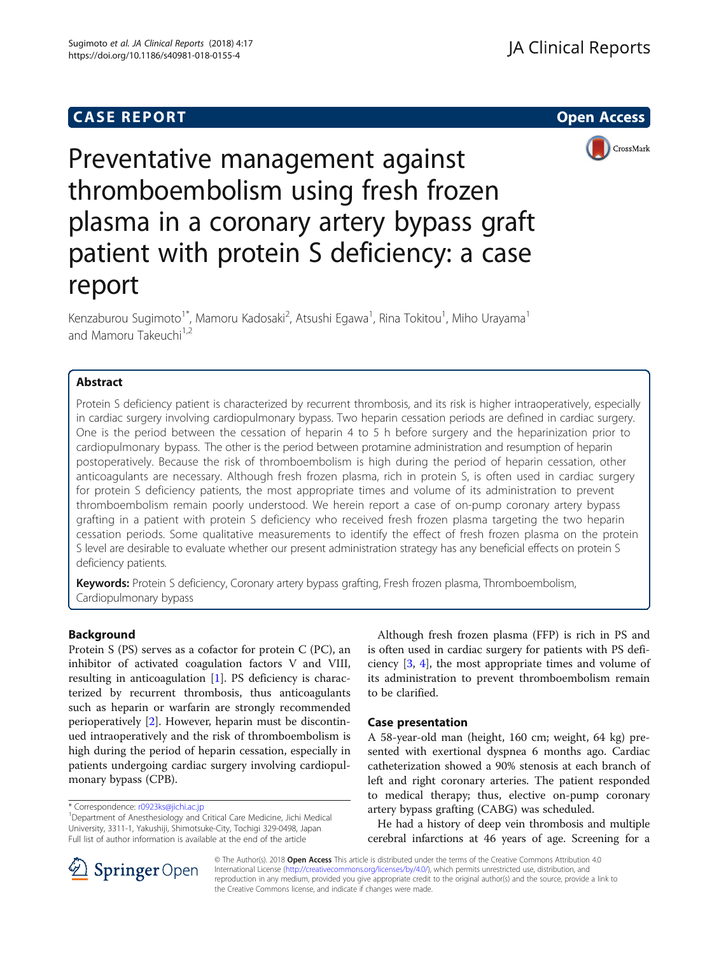# **CASE REPORT CASE REPORT**



Preventative management against thromboembolism using fresh frozen plasma in a coronary artery bypass graft patient with protein S deficiency: a case report

Kenzaburou Sugimoto<sup>1\*</sup>, Mamoru Kadosaki<sup>2</sup>, Atsushi Egawa<sup>1</sup>, Rina Tokitou<sup>1</sup>, Miho Urayama<sup>1</sup> and Mamoru Takeuchi<sup>1,2</sup>

# Abstract

Protein S deficiency patient is characterized by recurrent thrombosis, and its risk is higher intraoperatively, especially in cardiac surgery involving cardiopulmonary bypass. Two heparin cessation periods are defined in cardiac surgery. One is the period between the cessation of heparin 4 to 5 h before surgery and the heparinization prior to cardiopulmonary bypass. The other is the period between protamine administration and resumption of heparin postoperatively. Because the risk of thromboembolism is high during the period of heparin cessation, other anticoagulants are necessary. Although fresh frozen plasma, rich in protein S, is often used in cardiac surgery for protein S deficiency patients, the most appropriate times and volume of its administration to prevent thromboembolism remain poorly understood. We herein report a case of on-pump coronary artery bypass grafting in a patient with protein S deficiency who received fresh frozen plasma targeting the two heparin cessation periods. Some qualitative measurements to identify the effect of fresh frozen plasma on the protein S level are desirable to evaluate whether our present administration strategy has any beneficial effects on protein S deficiency patients.

Keywords: Protein S deficiency, Coronary artery bypass grafting, Fresh frozen plasma, Thromboembolism, Cardiopulmonary bypass

# Background

Protein S (PS) serves as a cofactor for protein C (PC), an inhibitor of activated coagulation factors V and VIII, resulting in anticoagulation [[1](#page-2-0)]. PS deficiency is characterized by recurrent thrombosis, thus anticoagulants such as heparin or warfarin are strongly recommended perioperatively [\[2](#page-2-0)]. However, heparin must be discontinued intraoperatively and the risk of thromboembolism is high during the period of heparin cessation, especially in patients undergoing cardiac surgery involving cardiopulmonary bypass (CPB).

\* Correspondence: [r0923ks@jichi.ac.jp](mailto:r0923ks@jichi.ac.jp) <sup>1</sup>

Although fresh frozen plasma (FFP) is rich in PS and is often used in cardiac surgery for patients with PS deficiency [\[3,](#page-2-0) [4\]](#page-2-0), the most appropriate times and volume of its administration to prevent thromboembolism remain to be clarified.

### Case presentation

A 58-year-old man (height, 160 cm; weight, 64 kg) presented with exertional dyspnea 6 months ago. Cardiac catheterization showed a 90% stenosis at each branch of left and right coronary arteries. The patient responded to medical therapy; thus, elective on-pump coronary artery bypass grafting (CABG) was scheduled.

He had a history of deep vein thrombosis and multiple cerebral infarctions at 46 years of age. Screening for a



© The Author(s). 2018 Open Access This article is distributed under the terms of the Creative Commons Attribution 4.0 International License ([http://creativecommons.org/licenses/by/4.0/\)](http://creativecommons.org/licenses/by/4.0/), which permits unrestricted use, distribution, and reproduction in any medium, provided you give appropriate credit to the original author(s) and the source, provide a link to the Creative Commons license, and indicate if changes were made.

<sup>&</sup>lt;sup>1</sup>Department of Anesthesiology and Critical Care Medicine, Jichi Medical University, 3311-1, Yakushiji, Shimotsuke-City, Tochigi 329-0498, Japan Full list of author information is available at the end of the article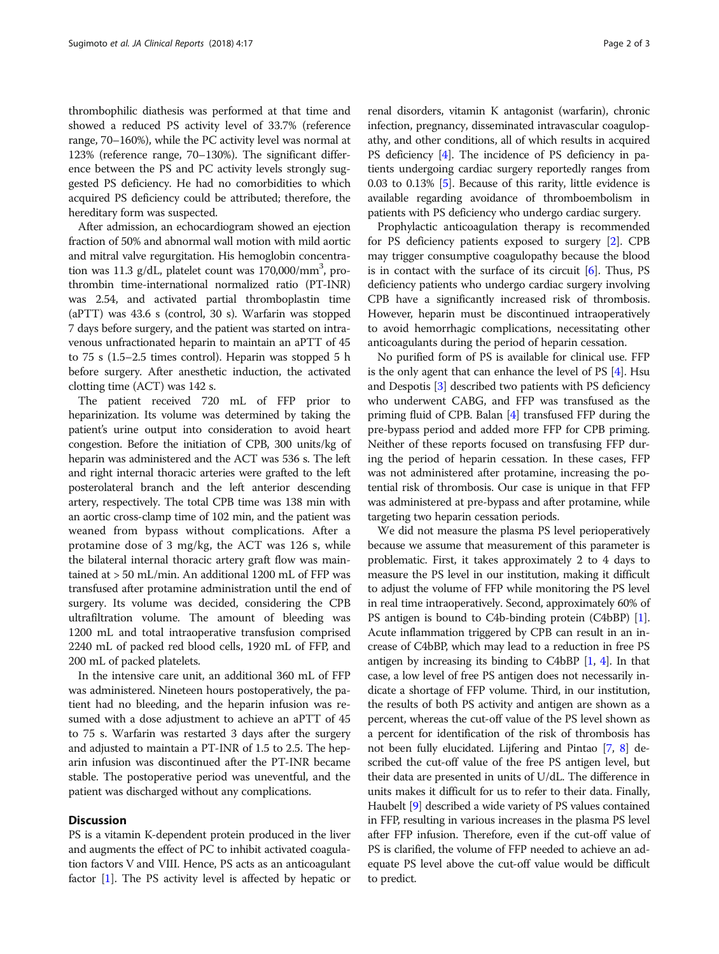thrombophilic diathesis was performed at that time and showed a reduced PS activity level of 33.7% (reference range, 70–160%), while the PC activity level was normal at 123% (reference range, 70–130%). The significant difference between the PS and PC activity levels strongly suggested PS deficiency. He had no comorbidities to which acquired PS deficiency could be attributed; therefore, the hereditary form was suspected.

After admission, an echocardiogram showed an ejection fraction of 50% and abnormal wall motion with mild aortic and mitral valve regurgitation. His hemoglobin concentration was 11.3 g/dL, platelet count was 170,000/mm<sup>3</sup>, prothrombin time-international normalized ratio (PT-INR) was 2.54, and activated partial thromboplastin time (aPTT) was 43.6 s (control, 30 s). Warfarin was stopped 7 days before surgery, and the patient was started on intravenous unfractionated heparin to maintain an aPTT of 45 to 75 s (1.5–2.5 times control). Heparin was stopped 5 h before surgery. After anesthetic induction, the activated clotting time (ACT) was 142 s.

The patient received 720 mL of FFP prior to heparinization. Its volume was determined by taking the patient's urine output into consideration to avoid heart congestion. Before the initiation of CPB, 300 units/kg of heparin was administered and the ACT was 536 s. The left and right internal thoracic arteries were grafted to the left posterolateral branch and the left anterior descending artery, respectively. The total CPB time was 138 min with an aortic cross-clamp time of 102 min, and the patient was weaned from bypass without complications. After a protamine dose of 3 mg/kg, the ACT was 126 s, while the bilateral internal thoracic artery graft flow was maintained at > 50 mL/min. An additional 1200 mL of FFP was transfused after protamine administration until the end of surgery. Its volume was decided, considering the CPB ultrafiltration volume. The amount of bleeding was 1200 mL and total intraoperative transfusion comprised 2240 mL of packed red blood cells, 1920 mL of FFP, and 200 mL of packed platelets.

In the intensive care unit, an additional 360 mL of FFP was administered. Nineteen hours postoperatively, the patient had no bleeding, and the heparin infusion was resumed with a dose adjustment to achieve an aPTT of 45 to 75 s. Warfarin was restarted 3 days after the surgery and adjusted to maintain a PT-INR of 1.5 to 2.5. The heparin infusion was discontinued after the PT-INR became stable. The postoperative period was uneventful, and the patient was discharged without any complications.

### **Discussion**

PS is a vitamin K-dependent protein produced in the liver and augments the effect of PC to inhibit activated coagulation factors V and VIII. Hence, PS acts as an anticoagulant factor [\[1\]](#page-2-0). The PS activity level is affected by hepatic or

renal disorders, vitamin K antagonist (warfarin), chronic infection, pregnancy, disseminated intravascular coagulopathy, and other conditions, all of which results in acquired PS deficiency [\[4](#page-2-0)]. The incidence of PS deficiency in patients undergoing cardiac surgery reportedly ranges from 0.03 to 0.13% [[5\]](#page-2-0). Because of this rarity, little evidence is available regarding avoidance of thromboembolism in patients with PS deficiency who undergo cardiac surgery.

Prophylactic anticoagulation therapy is recommended for PS deficiency patients exposed to surgery [[2\]](#page-2-0). CPB may trigger consumptive coagulopathy because the blood is in contact with the surface of its circuit  $[6]$  $[6]$  $[6]$ . Thus, PS deficiency patients who undergo cardiac surgery involving CPB have a significantly increased risk of thrombosis. However, heparin must be discontinued intraoperatively to avoid hemorrhagic complications, necessitating other anticoagulants during the period of heparin cessation.

No purified form of PS is available for clinical use. FFP is the only agent that can enhance the level of  $PS [4]$  $PS [4]$  $PS [4]$ . Hsu and Despotis [\[3](#page-2-0)] described two patients with PS deficiency who underwent CABG, and FFP was transfused as the priming fluid of CPB. Balan [[4\]](#page-2-0) transfused FFP during the pre-bypass period and added more FFP for CPB priming. Neither of these reports focused on transfusing FFP during the period of heparin cessation. In these cases, FFP was not administered after protamine, increasing the potential risk of thrombosis. Our case is unique in that FFP was administered at pre-bypass and after protamine, while targeting two heparin cessation periods.

We did not measure the plasma PS level perioperatively because we assume that measurement of this parameter is problematic. First, it takes approximately 2 to 4 days to measure the PS level in our institution, making it difficult to adjust the volume of FFP while monitoring the PS level in real time intraoperatively. Second, approximately 60% of PS antigen is bound to C4b-binding protein (C4bBP) [[1](#page-2-0)]. Acute inflammation triggered by CPB can result in an increase of C4bBP, which may lead to a reduction in free PS antigen by increasing its binding to C4bBP [[1,](#page-2-0) [4](#page-2-0)]. In that case, a low level of free PS antigen does not necessarily indicate a shortage of FFP volume. Third, in our institution, the results of both PS activity and antigen are shown as a percent, whereas the cut-off value of the PS level shown as a percent for identification of the risk of thrombosis has not been fully elucidated. Lijfering and Pintao [\[7](#page-2-0), [8](#page-2-0)] described the cut-off value of the free PS antigen level, but their data are presented in units of U/dL. The difference in units makes it difficult for us to refer to their data. Finally, Haubelt [\[9\]](#page-2-0) described a wide variety of PS values contained in FFP, resulting in various increases in the plasma PS level after FFP infusion. Therefore, even if the cut-off value of PS is clarified, the volume of FFP needed to achieve an adequate PS level above the cut-off value would be difficult to predict.